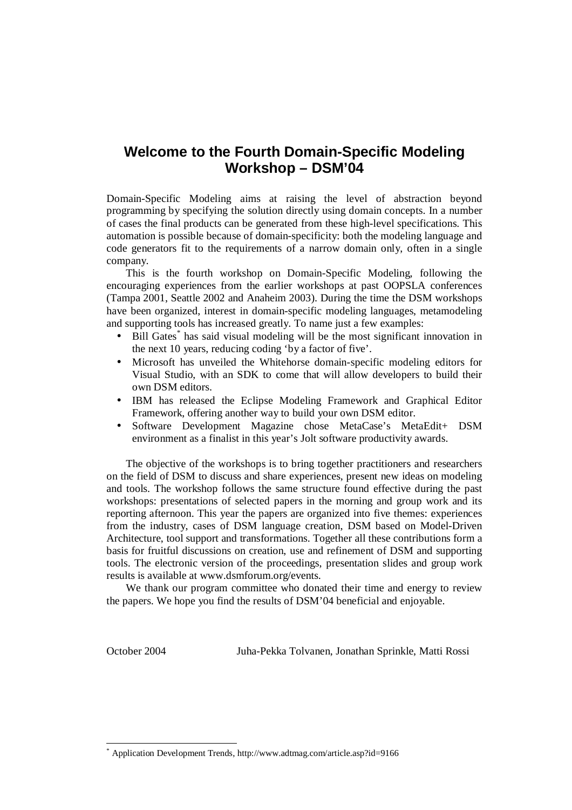#### **Welcome to the Fourth Domain-Specific Modeling Workshop – DSM'04**

Domain-Specific Modeling aims at raising the level of abstraction beyond programming by specifying the solution directly using domain concepts. In a number of cases the final products can be generated from these high-level specifications. This automation is possible because of domain-specificity: both the modeling language and code generators fit to the requirements of a narrow domain only, often in a single company.

This is the fourth workshop on Domain-Specific Modeling, following the encouraging experiences from the earlier workshops at past OOPSLA conferences (Tampa 2001, Seattle 2002 and Anaheim 2003). During the time the DSM workshops have been organized, interest in domain-specific modeling languages, metamodeling and supporting tools has increased greatly. To name just a few examples:

- Bill Gates<sup>\*</sup> has said visual modeling will be the most significant innovation in the next 10 years, reducing coding 'by a factor of five'.
- Microsoft has unveiled the Whitehorse domain-specific modeling editors for Visual Studio, with an SDK to come that will allow developers to build their own DSM editors.
- IBM has released the Eclipse Modeling Framework and Graphical Editor Framework, offering another way to build your own DSM editor.
- Software Development Magazine chose MetaCase's MetaEdit+ DSM environment as a finalist in this year's Jolt software productivity awards.

The objective of the workshops is to bring together practitioners and researchers on the field of DSM to discuss and share experiences, present new ideas on modeling and tools. The workshop follows the same structure found effective during the past workshops: presentations of selected papers in the morning and group work and its reporting afternoon. This year the papers are organized into five themes: experiences from the industry, cases of DSM language creation, DSM based on Model-Driven Architecture, tool support and transformations. Together all these contributions form a basis for fruitful discussions on creation, use and refinement of DSM and supporting tools. The electronic version of the proceedings, presentation slides and group work results is available at www.dsmforum.org/events.

We thank our program committee who donated their time and energy to review the papers. We hope you find the results of DSM'04 beneficial and enjoyable.

 $\overline{a}$ 

October 2004 Juha-Pekka Tolvanen, Jonathan Sprinkle, Matti Rossi

<sup>\*</sup> Application Development Trends, http://www.adtmag.com/article.asp?id=9166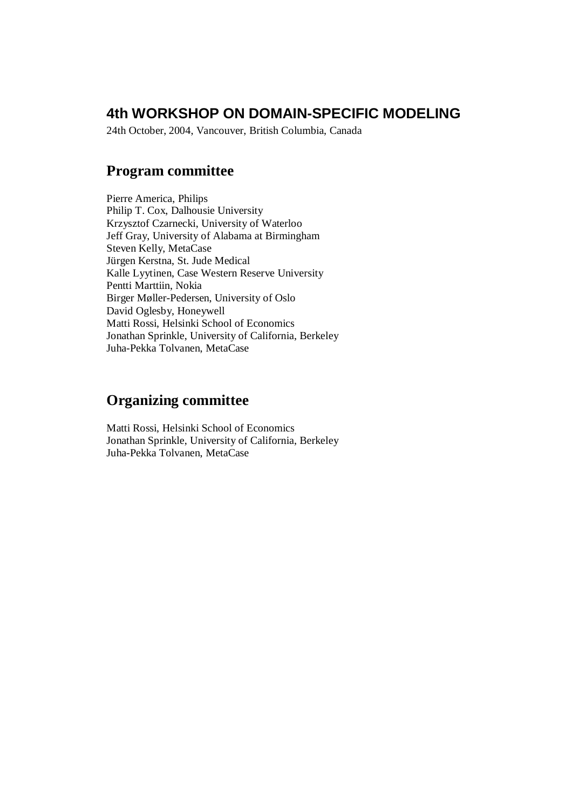### **4th WORKSHOP ON DOMAIN-SPECIFIC MODELING**

24th October, 2004, Vancouver, British Columbia, Canada

#### **Program committee**

Pierre America, Philips Philip T. Cox, Dalhousie University Krzysztof Czarnecki, University of Waterloo Jeff Gray, University of Alabama at Birmingham Steven Kelly, MetaCase Jürgen Kerstna, St. Jude Medical Kalle Lyytinen, Case Western Reserve University Pentti Marttiin, Nokia Birger Møller-Pedersen, University of Oslo David Oglesby, Honeywell Matti Rossi, Helsinki School of Economics Jonathan Sprinkle, University of California, Berkeley Juha-Pekka Tolvanen, MetaCase

#### **Organizing committee**

Matti Rossi, Helsinki School of Economics Jonathan Sprinkle, University of California, Berkeley Juha-Pekka Tolvanen, MetaCase